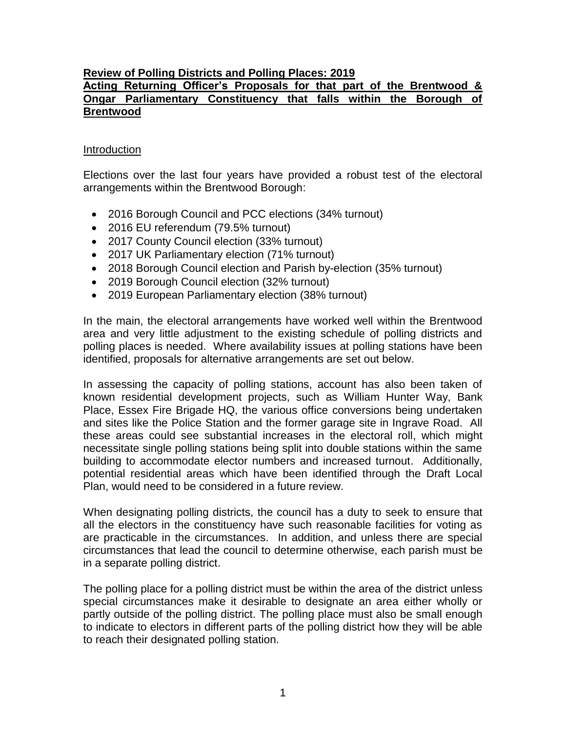# **Review of Polling Districts and Polling Places: 2019**

## **Acting Returning Officer's Proposals for that part of the Brentwood & Ongar Parliamentary Constituency that falls within the Borough of Brentwood**

## Introduction

Elections over the last four years have provided a robust test of the electoral arrangements within the Brentwood Borough:

- 2016 Borough Council and PCC elections (34% turnout)
- 2016 EU referendum (79.5% turnout)
- 2017 County Council election (33% turnout)
- 2017 UK Parliamentary election (71% turnout)
- 2018 Borough Council election and Parish by-election (35% turnout)
- 2019 Borough Council election (32% turnout)
- 2019 European Parliamentary election (38% turnout)

In the main, the electoral arrangements have worked well within the Brentwood area and very little adjustment to the existing schedule of polling districts and polling places is needed. Where availability issues at polling stations have been identified, proposals for alternative arrangements are set out below.

In assessing the capacity of polling stations, account has also been taken of known residential development projects, such as William Hunter Way, Bank Place, Essex Fire Brigade HQ, the various office conversions being undertaken and sites like the Police Station and the former garage site in Ingrave Road. All these areas could see substantial increases in the electoral roll, which might necessitate single polling stations being split into double stations within the same building to accommodate elector numbers and increased turnout. Additionally, potential residential areas which have been identified through the Draft Local Plan, would need to be considered in a future review.

When designating polling districts, the council has a duty to seek to ensure that all the electors in the constituency have such reasonable facilities for voting as are practicable in the circumstances. In addition, and unless there are special circumstances that lead the council to determine otherwise, each parish must be in a separate polling district.

The polling place for a polling district must be within the area of the district unless special circumstances make it desirable to designate an area either wholly or partly outside of the polling district. The polling place must also be small enough to indicate to electors in different parts of the polling district how they will be able to reach their designated polling station.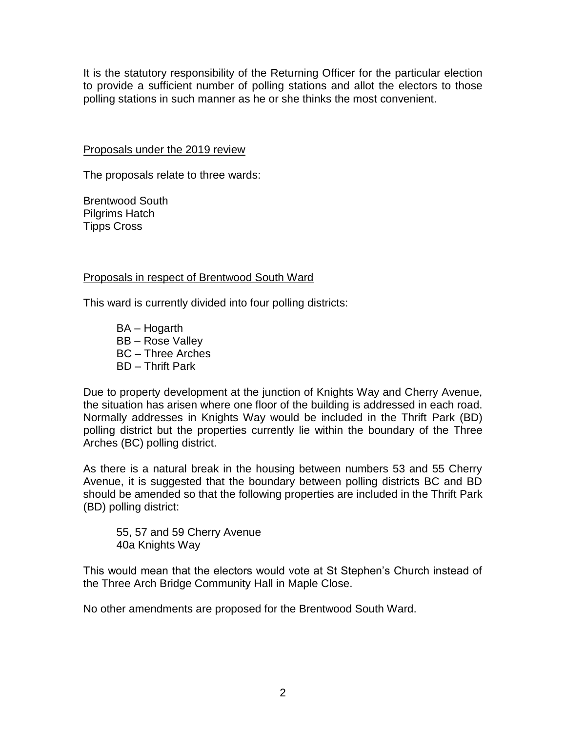It is the statutory responsibility of the Returning Officer for the particular election to provide a sufficient number of polling stations and allot the electors to those polling stations in such manner as he or she thinks the most convenient.

Proposals under the 2019 review

The proposals relate to three wards:

Brentwood South Pilgrims Hatch Tipps Cross

# Proposals in respect of Brentwood South Ward

This ward is currently divided into four polling districts:

BA – Hogarth BB – Rose Valley BC – Three Arches BD – Thrift Park

Due to property development at the junction of Knights Way and Cherry Avenue, the situation has arisen where one floor of the building is addressed in each road. Normally addresses in Knights Way would be included in the Thrift Park (BD) polling district but the properties currently lie within the boundary of the Three Arches (BC) polling district.

As there is a natural break in the housing between numbers 53 and 55 Cherry Avenue, it is suggested that the boundary between polling districts BC and BD should be amended so that the following properties are included in the Thrift Park (BD) polling district:

55, 57 and 59 Cherry Avenue 40a Knights Way

This would mean that the electors would vote at St Stephen's Church instead of the Three Arch Bridge Community Hall in Maple Close.

No other amendments are proposed for the Brentwood South Ward.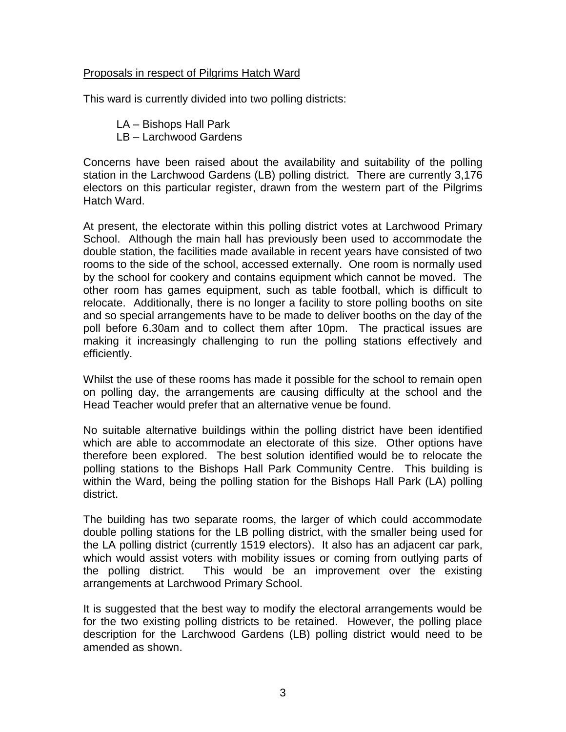# Proposals in respect of Pilgrims Hatch Ward

This ward is currently divided into two polling districts:

LA – Bishops Hall Park LB – Larchwood Gardens

Concerns have been raised about the availability and suitability of the polling station in the Larchwood Gardens (LB) polling district. There are currently 3,176 electors on this particular register, drawn from the western part of the Pilgrims Hatch Ward.

At present, the electorate within this polling district votes at Larchwood Primary School. Although the main hall has previously been used to accommodate the double station, the facilities made available in recent years have consisted of two rooms to the side of the school, accessed externally. One room is normally used by the school for cookery and contains equipment which cannot be moved. The other room has games equipment, such as table football, which is difficult to relocate. Additionally, there is no longer a facility to store polling booths on site and so special arrangements have to be made to deliver booths on the day of the poll before 6.30am and to collect them after 10pm. The practical issues are making it increasingly challenging to run the polling stations effectively and efficiently.

Whilst the use of these rooms has made it possible for the school to remain open on polling day, the arrangements are causing difficulty at the school and the Head Teacher would prefer that an alternative venue be found.

No suitable alternative buildings within the polling district have been identified which are able to accommodate an electorate of this size. Other options have therefore been explored. The best solution identified would be to relocate the polling stations to the Bishops Hall Park Community Centre. This building is within the Ward, being the polling station for the Bishops Hall Park (LA) polling district.

The building has two separate rooms, the larger of which could accommodate double polling stations for the LB polling district, with the smaller being used for the LA polling district (currently 1519 electors). It also has an adjacent car park, which would assist voters with mobility issues or coming from outlying parts of the polling district. This would be an improvement over the existing arrangements at Larchwood Primary School.

It is suggested that the best way to modify the electoral arrangements would be for the two existing polling districts to be retained. However, the polling place description for the Larchwood Gardens (LB) polling district would need to be amended as shown.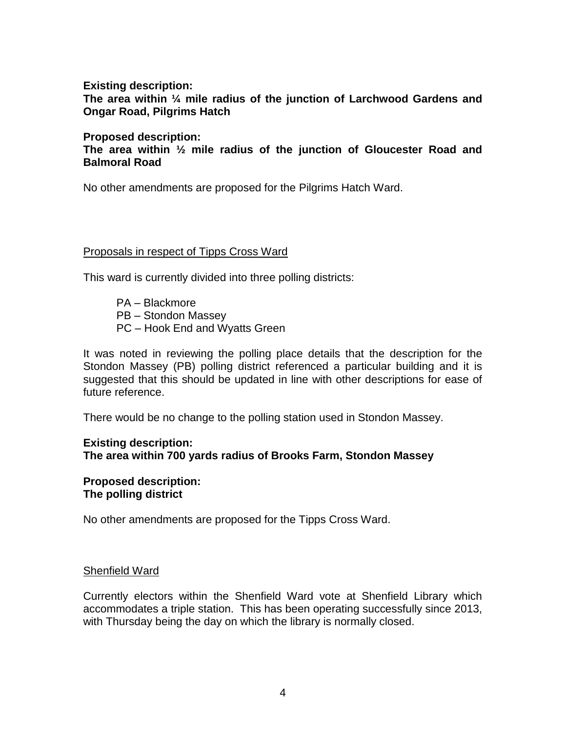**Existing description:**

**The area within ¼ mile radius of the junction of Larchwood Gardens and Ongar Road, Pilgrims Hatch**

## **Proposed description:**

**The area within ½ mile radius of the junction of Gloucester Road and Balmoral Road**

No other amendments are proposed for the Pilgrims Hatch Ward.

## Proposals in respect of Tipps Cross Ward

This ward is currently divided into three polling districts:

PA – Blackmore PB – Stondon Massey PC – Hook End and Wyatts Green

It was noted in reviewing the polling place details that the description for the Stondon Massey (PB) polling district referenced a particular building and it is suggested that this should be updated in line with other descriptions for ease of future reference.

There would be no change to the polling station used in Stondon Massey.

# **Existing description: The area within 700 yards radius of Brooks Farm, Stondon Massey**

**Proposed description: The polling district**

No other amendments are proposed for the Tipps Cross Ward.

#### Shenfield Ward

Currently electors within the Shenfield Ward vote at Shenfield Library which accommodates a triple station. This has been operating successfully since 2013, with Thursday being the day on which the library is normally closed.